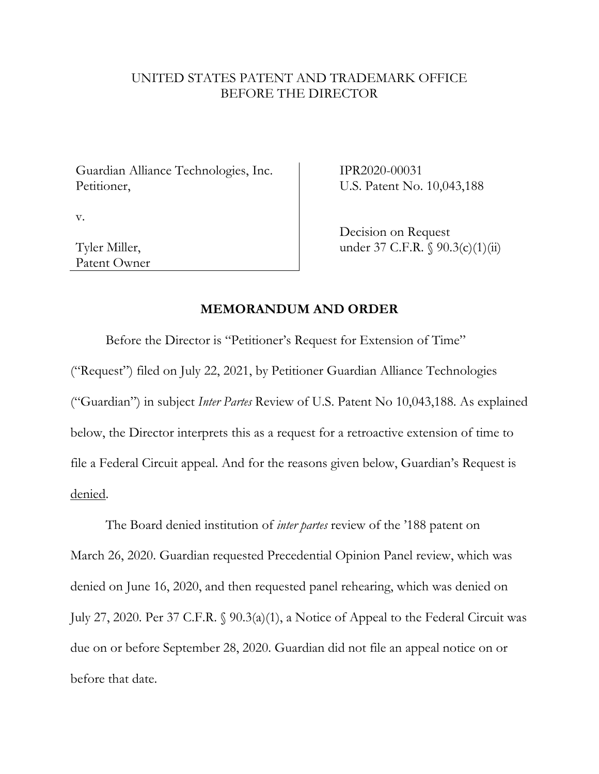## UNITED STATES PATENT AND TRADEMARK OFFICE BEFORE THE DIRECTOR

Guardian Alliance Technologies, Inc. Petitioner,

IPR2020-00031 U.S. Patent No. 10,043,188

v.

Tyler Miller, Patent Owner Decision on Request under 37 C.F.R. § 90.3(c)(1)(ii)

## **MEMORANDUM AND ORDER**

Before the Director is "Petitioner's Request for Extension of Time" ("Request") filed on July 22, 2021, by Petitioner Guardian Alliance Technologies ("Guardian") in subject *Inter Partes* Review of U.S. Patent No 10,043,188. As explained below, the Director interprets this as a request for a retroactive extension of time to file a Federal Circuit appeal. And for the reasons given below, Guardian's Request is denied.

The Board denied institution of *inter partes* review of the '188 patent on March 26, 2020. Guardian requested Precedential Opinion Panel review, which was denied on June 16, 2020, and then requested panel rehearing, which was denied on July 27, 2020. Per 37 C.F.R. § 90.3(a)(1), a Notice of Appeal to the Federal Circuit was due on or before September 28, 2020. Guardian did not file an appeal notice on or before that date.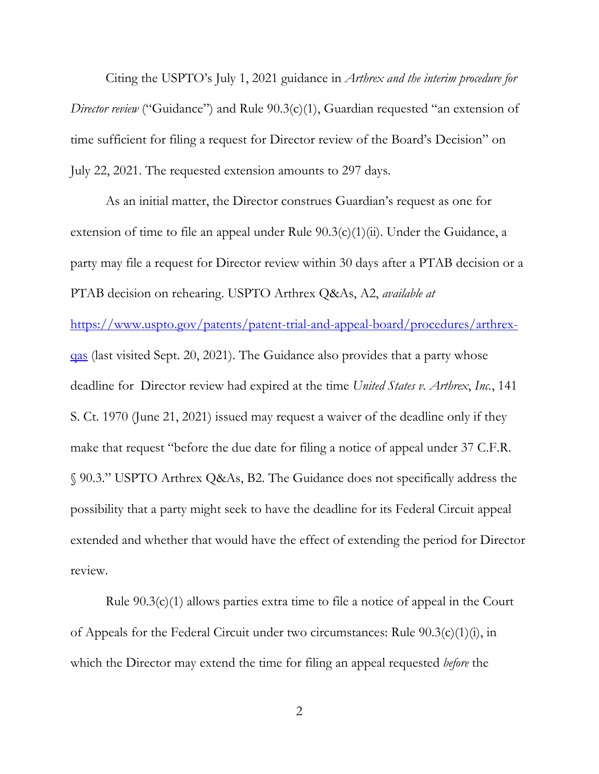Citing the USPTO's July 1, 2021 guidance in *Arthrex and the interim procedure for Director review* ("Guidance") and Rule 90.3(c)(1), Guardian requested "an extension of time sufficient for filing a request for Director review of the Board's Decision" on July 22, 2021. The requested extension amounts to 297 days.

As an initial matter, the Director construes Guardian's request as one for extension of time to file an appeal under Rule  $90.3(c)(1)(ii)$ . Under the Guidance, a party may file a request for Director review within 30 days after a PTAB decision or a PTAB decision on rehearing. USPTO Arthrex Q&As, A2, *available at* https://www.uspto.gov/patents/patent-trial-and-appeal-board/procedures/arthrexqas (last visited Sept. 20, 2021). The Guidance also provides that a party whose deadline for Director review had expired at the time *United States v. Arthrex*, *Inc.*, 141 S. Ct. 1970 (June 21, 2021) issued may request a waiver of the deadline only if they make that request "before the due date for filing a notice of appeal under 37 C.F.R. § 90.3." USPTO Arthrex Q&As, B2. The Guidance does not specifically address the possibility that a party might seek to have the deadline for its Federal Circuit appeal extended and whether that would have the effect of extending the period for Director review.

Rule 90.3(c)(1) allows parties extra time to file a notice of appeal in the Court of Appeals for the Federal Circuit under two circumstances: Rule 90.3(c)(1)(i), in which the Director may extend the time for filing an appeal requested *before* the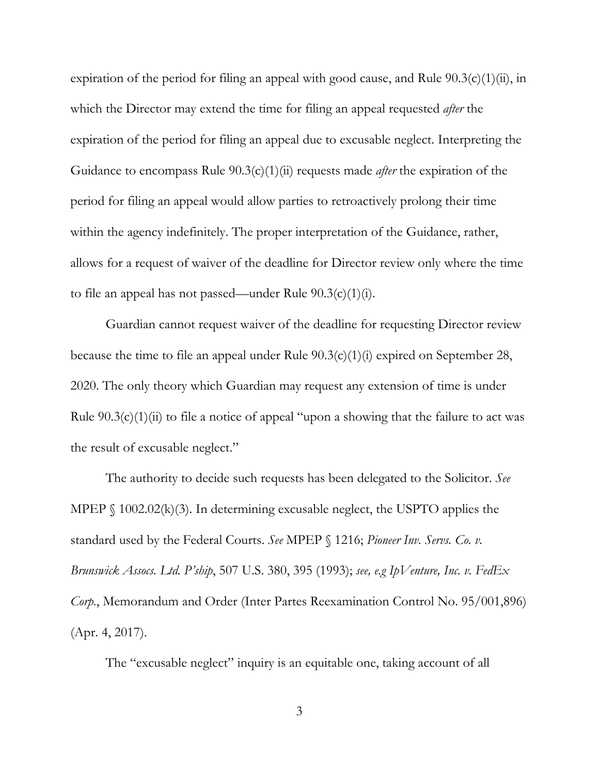expiration of the period for filing an appeal with good cause, and Rule  $90.3(c)(1)(ii)$ , in which the Director may extend the time for filing an appeal requested *after* the expiration of the period for filing an appeal due to excusable neglect. Interpreting the Guidance to encompass Rule 90.3(c)(1)(ii) requests made *after* the expiration of the period for filing an appeal would allow parties to retroactively prolong their time within the agency indefinitely. The proper interpretation of the Guidance, rather, allows for a request of waiver of the deadline for Director review only where the time to file an appeal has not passed—under Rule  $90.3(c)(1)(i)$ .

Guardian cannot request waiver of the deadline for requesting Director review because the time to file an appeal under Rule 90.3(c)(1)(i) expired on September 28, 2020. The only theory which Guardian may request any extension of time is under Rule  $90.3(c)(1)(ii)$  to file a notice of appeal "upon a showing that the failure to act was the result of excusable neglect."

The authority to decide such requests has been delegated to the Solicitor. *See* MPEP  $\S$  1002.02(k)(3). In determining excusable neglect, the USPTO applies the standard used by the Federal Courts. *See* MPEP § 1216; *Pioneer Inv. Servs. Co. v. Brunswick Assocs. Ltd. P'ship*, 507 U.S. 380, 395 (1993); *see, e.g IpVenture, Inc. v. FedEx Corp.*, Memorandum and Order (Inter Partes Reexamination Control No. 95/001,896) (Apr. 4, 2017).

The "excusable neglect" inquiry is an equitable one, taking account of all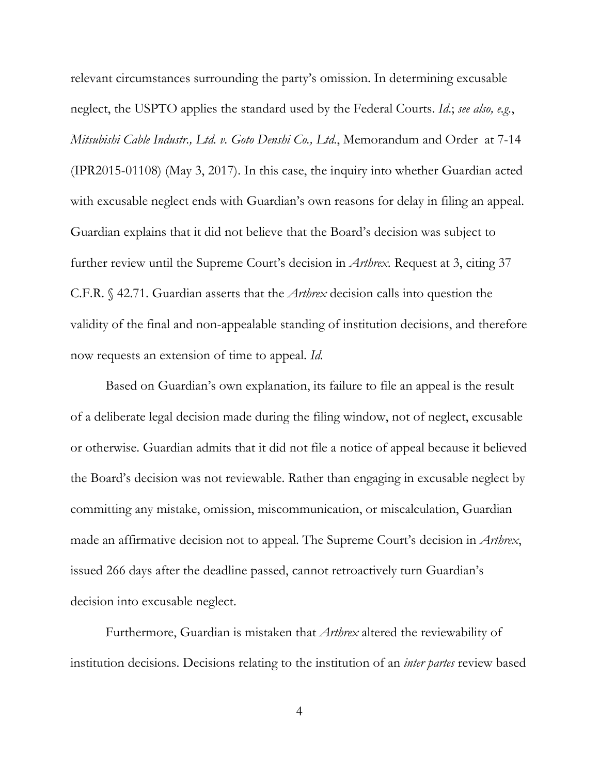relevant circumstances surrounding the party's omission. In determining excusable neglect, the USPTO applies the standard used by the Federal Courts. *Id*.; *see also, e.g.*, *Mitsubishi Cable Industr., Ltd. v. Goto Denshi Co., Ltd*., Memorandum and Order at 7-14 (IPR2015-01108) (May 3, 2017). In this case, the inquiry into whether Guardian acted with excusable neglect ends with Guardian's own reasons for delay in filing an appeal. Guardian explains that it did not believe that the Board's decision was subject to further review until the Supreme Court's decision in *Arthrex.* Request at 3, citing 37 C.F.R. § 42.71. Guardian asserts that the *Arthrex* decision calls into question the validity of the final and non-appealable standing of institution decisions, and therefore now requests an extension of time to appeal. *Id.* 

Based on Guardian's own explanation, its failure to file an appeal is the result of a deliberate legal decision made during the filing window, not of neglect, excusable or otherwise. Guardian admits that it did not file a notice of appeal because it believed the Board's decision was not reviewable. Rather than engaging in excusable neglect by committing any mistake, omission, miscommunication, or miscalculation, Guardian made an affirmative decision not to appeal. The Supreme Court's decision in *Arthrex*, issued 266 days after the deadline passed, cannot retroactively turn Guardian's decision into excusable neglect.

Furthermore, Guardian is mistaken that *Arthrex* altered the reviewability of institution decisions. Decisions relating to the institution of an *inter partes* review based

4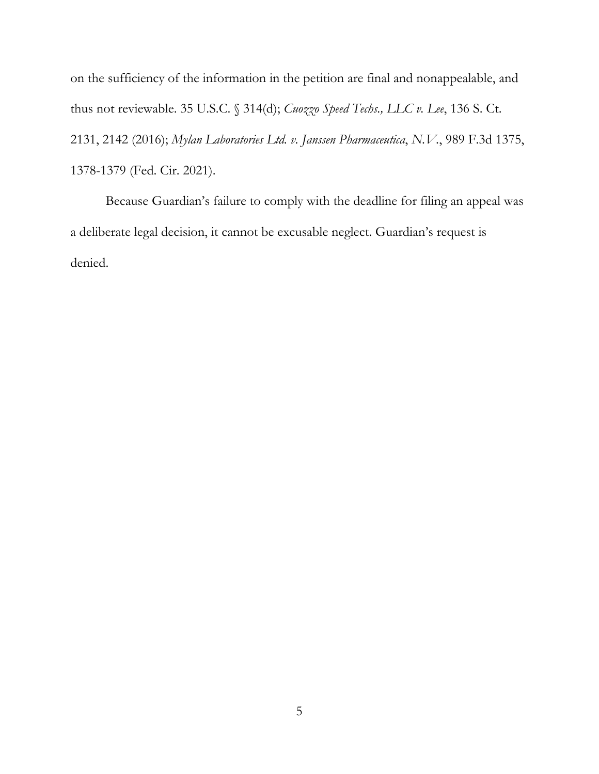on the sufficiency of the information in the petition are final and nonappealable, and thus not reviewable. 35 U.S.C. § 314(d); *Cuozzo Speed Techs., LLC v. Lee*, 136 S. Ct. 2131, 2142 (2016); *Mylan Laboratories Ltd. v. Janssen Pharmaceutica*, *N.V.*, 989 F.3d 1375, 1378-1379 (Fed. Cir. 2021).

Because Guardian's failure to comply with the deadline for filing an appeal was a deliberate legal decision, it cannot be excusable neglect. Guardian's request is denied.